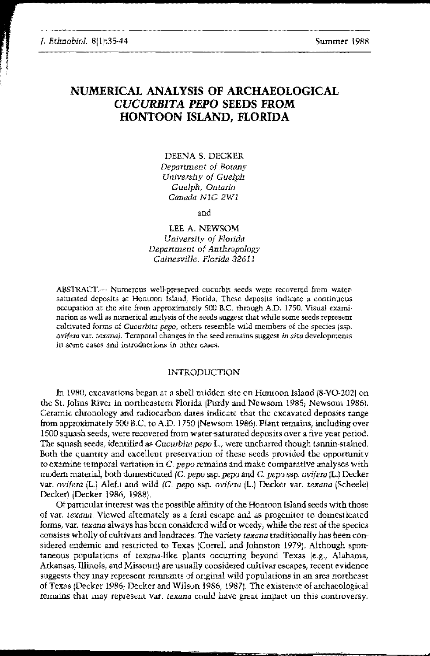# NUMERICAL ANALYSIS OF ARCHAEOLOGICAL *CUCURBITA PEPO* SEEDS FROM HONTOON ISLAND, FLORIDA

DEENA S. DECKER *Department of Botany University of Guelph Guelpb. Ontario* Canada N<sub>1G</sub> 2W<sub>1</sub>

and

LEE A. NEWSOM *University of Florida Department of Anthropalogy Gainesville. Florida* 32611

ABSTRACT.--- Numerous well-preserved cucurbit seeds were recovered from watersaturated deposits at Hontoon Island, Florida. These deposits indicate a continuous occupation at the site from approximately 500 RC through A.D. 1750, Visual examination as well as numerical analysis of the seeds suggest that while some seeds represent cultivated {onus of *CucurbJta pepo,* others resemble wild members of the species (ssp, ovifera var. texana). Temporal changes in the seed remains suggest in situ developments in some cases and introductions in other cases.

## INTRODUCTION

In 1980, excavations began at a shell midden site on Hontoon Island i8-Vo-202] on the St. Johns River in northeastern Florida [Purdy and Newsom 1985; Newsom 1986). Ceramic chronology and radiocarbon dates indicate that the excavated deposits range from approximately 500 B.C. to A.D. 1750 (Newsom 1986). Plant remains, including over 1500 squash seeds/ were recovered from water-saturated deposits over a five year period. The squash seeds, identified as *Cucurbita pepo* L., were uncharred though tannin-stained. Both the quantity and excellent preservarion of these seeds provided the opportunity to examine temporal variation in C, *pepo* remains and make comparative analyses with modern material, both domesticated (C. pepo ssp. pepo and C. pepo ssp. ovifera (L.) Decker var. *ovifera* iL.] Alef.) and wild (C. *pepo* ssp. *ovifera* IL.) Decker var. *texana* (Scheele) Decker) (Decker 1986, 19881.

Of particular interest was the possible affinity of the Hontoon Island seeds with those of var. *texana*. Viewed alternately as a feral escape and as progenitor to domesticated fonns, var. *texana* always has becn considered wild or weedy, while the rest of the species consists wholly of cultivars and landraces. The variety *texana* traditionally has been cOnsidered endemic and restricted to Texas (Correll and Johnston 1979]. Alrhough spontaneous populations of *texana-like* plants occurring beyond Texas [e.g., Alabama, Arkansas, illinois, and Missouril are usually considered cultivar escapes, recent evidence suggests they may represent remnants of original wild populations in an area northeast of Texas (Decker 1986; Decker and Wilson 1986, 1987]. The existenee of archaeological remains that may represent var, *texana* could have great impact on this controversy,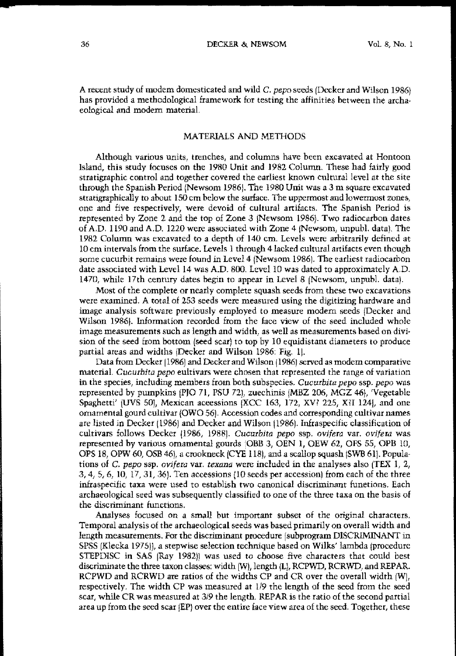A recent study of modem domesticated and wild C. *pepo* seeds (Decker and Wilson 1986) has provided a methodological framework for testing the affinities between the archa· eological and modem material.

# MATERIALS AND METHODS

**Although various units, trenches/** and **columns have been excavated at Hontoon** Island, this study focuses on the 1980 Unit and 1982 Column. These had fairly good stratigraphic control and together covered the earliest known cultural level at the site through the Spanish Period INewsom 1986). The 1980 Unit was a 3 m square excavated stratigraphically to about 150 cm below the surface. The uppermost and lowermost zones, one and five respectively, were devoid of cultural artifacts. The Spanish Period is represented by Zone 2 and the top of Zone 3 INewsom 1986). Two radiocarbon dates of A.D. 1190 and A.D. 1220 were associated with Zone 4 (Newsom, unpubL data). The 1982 Column was excavated to a depth of 140 ern Levels were arbitrarily defined at 10 em intervals from the surface. Levels 1 throngh 4 lacked cultural artifacts even though some cucurbit remains were found in Level 4 (Newsom 1986). The earliest radiocarbon date associated with Level 14 was A.D. 800. Level 10 was dated to approximately A.D. 1470, while 17th century dates begin to appear in Level 8 INewsom, unpubL data).

Most of the complete or nearly complete squash seeds from these two excavations were examined. A total of 253 seeds were measured using the digitizing hardware and image analysis software previously employed to measure modem seeds (Decker and Wilson 19861. information recorded from the face view of the seed included whole **image measurements such as length and width, as well as measurements based on** divi~ sion of the seed from bottom (seed scar) to top by 10 equidistant diameters to produce partial areas and widths IDecker and Wilson 1986: Fig. 11.

Data from Decker (1986) and Decker and Wilson (1986) served as modem comparative **materiaL** *Cucurbita pepo* **eultivars were chosen that represented the range of variation** in the speeies, including members from both suhspecies, *Cucurbita pepo* ssp. *pepo* was represented by pumpkins (PJO 71, PSU 72), zuechinis (MBZ 206, MGZ 46), 'Vegetable Spaghetti' (UVS 50), Mexican aceessions (XCC 163, 172, XV? 225, X?I 124), and one ornamental gourd cultivar (OWQ 561. Accession codes and corresponding cultivar names are listed in Decker 11986) and Decker and Wilson 11986). lnftaspecific classification of cultivars follows Decker (1986, 1988). *Cucurbita pepo* ssp. *ovifera* var. *ovifera* was represented by various ornamental gourds (OBB 3, OEN 1, OEW 62, OFS 55, OPB 10, OPS 18, OPW 60, OSB 46), a crookneck (CYE 118), and a scallop squash (SWB 61). Populations of C. *pepo* ssp. *ovifera* var. *texana* were included in the analyses also (TEX 1, 2,  $3,4,5,6,10,17,31,36$ . Ten accessions (10 seeds per accession) from each of the three inftaspecific taxa were used to estahlish two canonical discriminant funetions. Each archaeological seed was subsequently classified to one of the three taxa on the basis of the discriminant functions.

Analyses focused on a small but important subset of the original characters. Temporal analysis of the archaeological seeds was based primarily on overall width and length measurements. For the discriminant procedure (subprogram DISCRIMINANT in SPSS (Klecka 19751), a stepWise selection technique hased on Wilks' lambda (procedure STEPDISC in SAS (Ray 1982)) was used to choose five characters that could best discriminate the three taxon classes: width  $(W)$ , length  $\{L\}$ , RCPWD, RCRWD, and REPAR. RCPWD and RCRWD are ratios of the widths CP and CR over the overall width (WI, respectively. The width CP was measured at 119 the length of the seed from the seed scar, while CR was measured at 319 the length. REPAR is the ratio of the second partial area up from the seed scar (EP) over the entire face view area of the seed. Together, these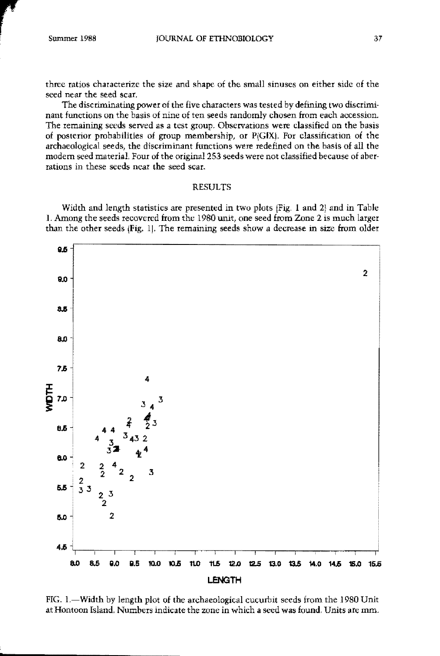three ratios characterize the size and shape of the small sinuses on either side of the seed near the seed scar.

The discriminating power of the five characters was rested by defining two discriminant functions on the basis of nine of ten seeds randomly chosen from each accession. The remaining seeds served as a test group. Observations were classified on the basis of posterior probabilities of group membership, or P(GIX). For classification of the archaeological seeds, the discriminant functions were redefined on the basis of all the modern seed material. Four of the original 253 seeds were not classified because of aberrations in these seeds near the seed scar.

## RESULTS

Width and length statistics are presented in two plots (Fig. 1 and 2) and in Table 1. Among the seeds recovered from the 1980 unit, one seed from Zone 2 is much larger than the other seeds (Fig. 1). The remaining seeds show a decrease in size from older



FIG. I.-Width by length plot of the archaeological cucurbit seeds from the 1980 Unit at Hontoon Island. Numbers indicate the zone in which a seed was found. Units are mm.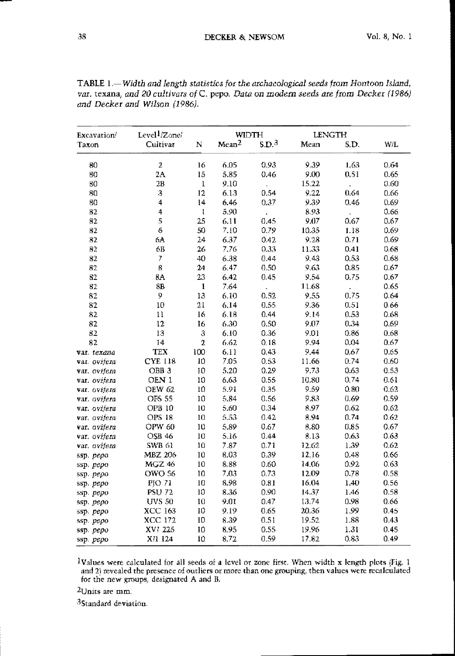| Excavation/  | Level <sup>1</sup> /Zone/ |          | WIDTH             |                      | <b>LENGTH</b> |                    |      |
|--------------|---------------------------|----------|-------------------|----------------------|---------------|--------------------|------|
| Taxon        | Cultivar                  | N        | Mean <sup>2</sup> | SD <sup>3</sup>      | Mean          | S.D.               | W/L  |
| 80           | $\overline{\mathbf{2}}$   | 16       | 6.05              | 0.93                 | 9.39          | 1.63               | 0.64 |
| 80           | 2A                        | 15       | 5.85              | 0.46                 | 9.QQ          | 0.51               | 0.65 |
| 80           | 2B                        | $\bf{l}$ | 9.10              | ł.                   | 15.22         | $\bar{\mathbf{x}}$ | 0.60 |
| 80           | $\mathfrak{Z}$            | 12       | 6.13              | 0.54                 | 9.22          | 0.64               | 0.66 |
| 80           | 4                         | 14       | 6.46              | 0.37                 | 9.39          | 0.46               | 0.69 |
| 82           | 4                         | 1        | 5.90              | $\pmb{\cdot}$        | 8.93          | $\bar{\pmb{z}}$    | 0.66 |
| 82           | 5                         | 25       | 6.11              | 0.45                 | 9.07          | 0.67               | 0.67 |
| 82           | 6                         | 50       | 7.10              | 0.79                 | 10.35         | 1.18               | 0.69 |
| 82           | 6A                        | 24       | 6.37              | 0.42                 | 9.28          | 0.71               | 0.69 |
| 82           | 6B                        | 26       | 7.76              | 0.33                 | 11.33         | 0.41               | 0.68 |
| 82           | 7                         | 40       | 6.38              | 0.44                 | 943           | 0.53               | 0.68 |
| 82           | 8                         | 24       | 6.47              | 0.50                 | 9.63          | 0.85               | 0.67 |
| 82           | 8A                        | 23       | 6.42              | 0.45                 | 9.54          | 0.75               | 0.67 |
| 82           | 3B                        | 1        | 7.64              | $\ddot{\phantom{0}}$ | 11.68         | ¥.                 | 0.65 |
| 82           | 9                         | 13       | 6.10              | 0.52                 | 9.55          | 0.75               | 0.64 |
| 82           | 10                        | 21       | 6.14              | 0.55                 | 936           | 0.51               | 0.66 |
| 82           | 11                        | 16       | 6.18              | 0.44                 | 9.14          | 0.53               | 0.68 |
| 82           | 12                        | 16       | 6.30              | 0.50                 | 9.07          | 0.34               | 0.69 |
| 82           | 13                        | $\rm{3}$ | 6.10              | 0.36                 | 9.01          | 0.86               | 0.68 |
| 82           | 14                        | 2        | 6.62              | 0.18                 | 9.94          | 0.04               | 0.67 |
| var. texana  | <b>TEX</b>                | 100      | 6.11              | 0.43                 | 9.44          | 0.67               | 0.65 |
| var. ovifera | <b>CYE 118</b>            | 10       | 7.05              | 0.53                 | 11.66         | 0.74               | 0.60 |
| var. ovijeta | OBB <sub>3</sub>          | 10       | 5.20              | 0.29                 | 9.73          | 0.63               | 0.53 |
| var. ovijeta | OEN 1                     | 10       | 6.63              | 0.55                 | 10.80         | 0.74               | 0.61 |
| var. ovijera | <b>OEW 62</b>             | 10       | 5.91              | 0.35                 | 9.59          | 0.80               | 0.62 |
| var. ovijera | <b>OFS 55</b>             | 10       | 5.84              | 0.56                 | 9.83          | 0.69               | 0.59 |
| var. ovijeta | <b>OPB 10</b>             | 10       | 5.60              | 0.34                 | 8.97          | 0.62               | 0.62 |
| var. ovijeta | <b>OPS 18</b>             | 10       | 5.53              | 0.42                 | 8.94          | 0.74               | 0.62 |
| var. ovijera | OPW 60                    | 10       | 5.89              | 0.67                 | 8.80          | 0.85               | 0.67 |
| var. ovifera | <b>OSB 46</b>             | 10       | 5.16              | 0.44                 | 8.13          | 0.63               | 0.63 |
| var. ovifera | <b>SWB 61</b>             | 10       | 7.87              | 0.71                 | 12.62         | 1.39               | 0.62 |
| ssp. pepo    | <b>MBZ 206</b>            | 10       | 8.03              | 0.39                 | 12.16         | 0.48               | 0.66 |
| ssp. pepo    | <b>MGZ 46</b>             | 10       | 8.88              | 0.60                 | 14.06         | 0.92               | 0.63 |
| ssp. pepo    | <b>OWO 56</b>             | 10       | 7.03              | 0.73                 | 12.09         | 0.78               | 0.58 |
| ssp. pepo    | PJO 71                    | 10       | 8.98              | 0.81                 | 16.04         | 1.40               | 0.56 |
| ssp. pepo    | <b>PSU 72</b>             | $10\,$   | 8.36              | 0.90                 | 14.37         | 1.46               | 0.58 |
| ssp. pepo    | <b>UVS 50</b>             | 10       | 9.01              | 0.47                 | 13.74         | 0.98               | 0.66 |
| ssp. pepo    | XCC 163                   | $10\,$   | 9.19              | 0.65                 | 20.36         | 1.99               | 0.45 |
| ssp. pepo    | <b>XCC 172</b>            | 10       | 8.39              | 0.51                 | 19.52         | 1.88               | 0.43 |
| ssp. pepo    | XV? 225                   | 10       | 8.95              | 0.55                 | 19.96         | 1.31               | 0.45 |
| ssp. pepo    | X?1 124                   | 10       | 3.72              | 0.59                 | 17.82         | 0.83               | 0.49 |

TABLE 1.-Width and length statistics for the archaeological seeds from Hontoon Island, var. texana, and 20 cultivars of C. pepo. Data on modern seeds are from Decker (1986) and Decker and Wilson (1986).

<sup>1</sup>Values were calculated for all seeds of a lcvel or zone first. When width x length plots (Fig. 1 and 2) revealed the presence of outliers or more than one grouping, then values were recalculated for the new groups, designated A and B.

 $2$ Units are mm.

<sup>3</sup>Standard deviation.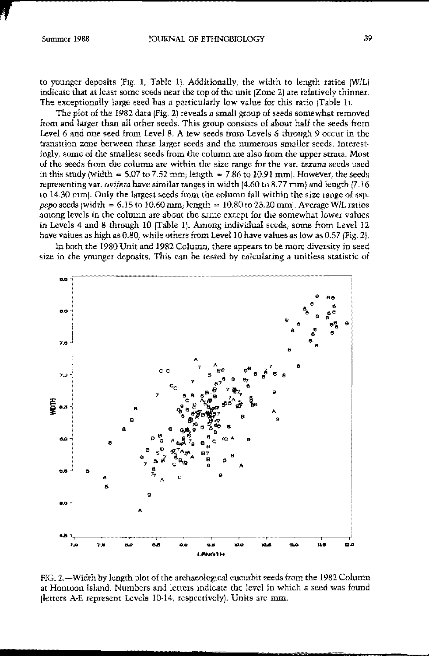to younger deposits (Fig. 1, Table 1). Additionally, the width to length ratios  $\{W/L\}$ indicate that at least some seeds near the top of the unit (Zone 2) are relatively thinner. The exceptionally large seed has a particularly low value for this ratio (Table 1).

The plot of the 1982 data (Fig. 2) reveals a small group of seeds somewhat removed from and larger than all other seeds. This group consists of about half the seeds from Level 6 and one seed from Level 8. A few seeds from Levels 6 through 9 occur in the transition zone between these larger seeds and the numerous smaller seeds. Interestingly, some of the smallest seeds from the column are also from the upper strata. Most of the seeds from the column are within the size range for the var. texana seeds used in this study (width  $= 5.07$  to 7.52 mm, length  $= 7.86$  to 10.91 mm. However, the seeds representing var. ovifera have similar ranges in width (4.60 to 8.77 mm) and length (7.16 to 14.30 mm. Only the largest seeds from the column fall within the size range of ssp. pepo seeds (width =  $6.15$  to 10.60 mm; length = 10.80 to 23.20 mm]. Average W/L ratios among levels in the column are about the same except for the somewhat lower values in Levels 4 and 8 through 10 (Table 1). Among individual seeds, some from Level 12 have values as high as 0.80, while others from Level 10 have values as low as 0.57 (Fig. 2).

In both the 1980 Unit and 1982 Column, there appears to be more diversity in seed size in the younger deposits. This can be tested by calculating a unitless statistic of



FIG. 2.—Width by length plot of the archaeological cucurbit seeds from the 1982 Column at Hontoon Island. Numbers and letters indicate the level in which a seed was found (letters A-E represent Levels 10-14, respectively). Units are mm.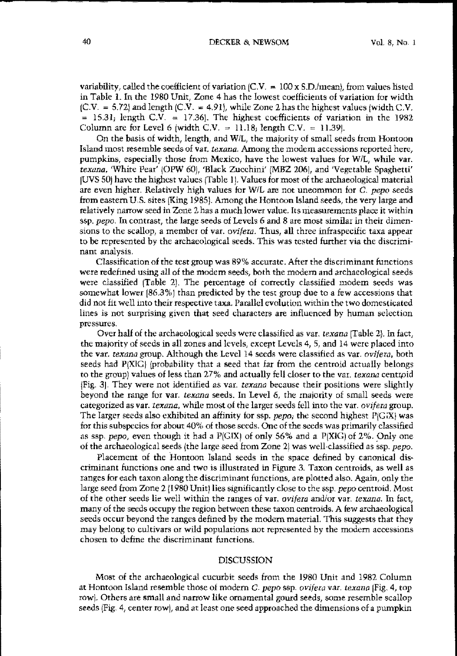variability, called the coefficient of variation  $/CV = 100 \times S.D./mean$ , from values listed in Table 1. In the 1980 Unit, Zone 4 has the lowest eoefficients of variation for width  $[CN = 5.72]$  and length  $[CN = 4.91]$ , while Zone 2 has the highest values (width C.V.  $= 15.31$ , length C.V.  $= 17.36$ . The highest coefficients of variation in the 1982 Column are for Level 6 (width C.V.  $= 11.18$ ; length C.V.  $= 11.39$ ).

On the basis of width, length, and WIL, the majority of small seeds from Hontoon Island most resemble seeds of var. *texana.* Among the modem accessions reported here, pumpkins, especially those from Mexico, have the lowest values for WiL, while var, *texana,* 'White Pear' (OPW 601, 'Black Zucchini' IMBZ 2061, and 'Vegetable Spaghetti' [UVS 50) have the highest values (Table I), Values for most of the archaeological material are even higher, Relatively high values for WIL are not uneommon for C. pepo seeds from eastern U,S. sites {King 19851. Among the Hontoon Island seeds, the very large and relatively narrow seed in Zone 2 has a much lower value. Its measurements place it within ssp. *pepc,* In contrast, the large seeds of Levels 6 and 8 are most similar in their dimen· sions to the seallop, a member of var. *ovifera.* Thus, all rhree mfraspecifie taxa appear to be represented by the archaeological seeds. This was tested further via the discriminant analysis.

Classification of rhe test group was 89% accurate. After the discriminant functions were redefmed using all of the modem seeds, both the modem and archaeologieal seeds were classified (Table 2). The percentage of correetly classified modem seeds was somewhat lower 186,3%) than predicted by the tesr group due to a few accessions that did not fit well into their respective taxa. Parallel evolution within the two domesticated lines is not surprising given that seed characters are influenced by human selection pressures,

Over half of the archaeological seeds Were classified as var. *texana* (Table 2). In fact, the majority of seeds in all zones and levels, except Levels 4, 5, and 14 were placed into the var. *texana* group. Although the Level 14 seeds were classified as Vat. *ovifera,* both seeds had  $P[X|G]$  (probability that a seed that far from the centroid actually belongs to the group) values of less than 27% and actually fell closer to the var. *texana* centroid IFig. 31. They were not identified as var, *texana* because their positions were slightly beyond the range for var. texana seeds. In Level 6, the majority of small seeds were categorized as var. *texana*, while most of the larger seeds fell into the var. *ovifera* group. The larger seeds also exhibited an affinity for ssp. *pepe;* the second highest PIGXI was for this subspecies for about  $40\%$  of those seeds. One of the seeds was primarily classified as ssp. *pepo*, even though it had a  $P(G|X)$  of only 56% and a  $P(X|G)$  of 2%. Only one of the archaeological seeds (the large seed from Zone 21 was well-classified as ssp. *pepo.*

Placement of the Hontoon Island seeds in the space defined by canonical dis· criminant functions one and two is illustrated in Figure 3. Taxon centroids, as well as ranges for each taxon along the diseriminant funetions, are plotted also. Again, only the large seed from ZOne 2 (1980 Unit) lies significantly close to the ssp. pepo centroid. Most of the other seeds lie well within the ranges of var. *ovifera* andlor var, *texana.* In lact, many of the seeds occupy the region between these taxon eentroids. A lew archaeologieal seeds occur beyond the ranges defined by the modern material. This suggests that they may belong to cultivars or wild populations not represented by the modem accessions chosen to define the discriminant funetions.

#### DISCUSSION

Most of the archaeologieal cucurbit seeds from the 1980 Unit and 1982 Column at Hontoon Island resemble those of modern C, *pepo* ssp. *ovifera* var. *texana* [Fig, 4, top rowl. Others are small and narrow like ornamental gourd seeds, some resemble scallop seeds (Fig. 4, center row), and at least one seed approached the dimensions of a pumpkin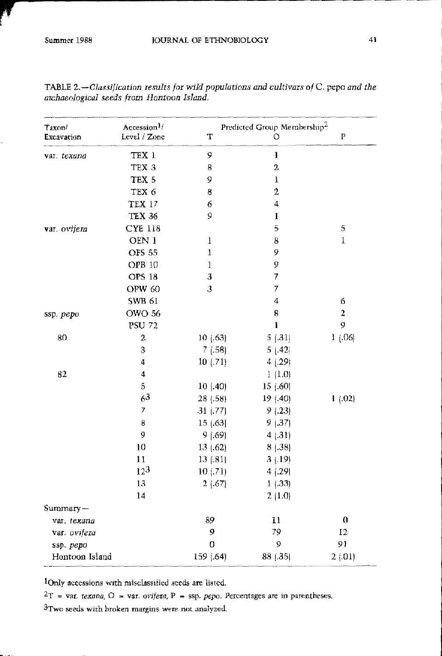| Taxon/<br><b>Excavation</b> | Accession <sup>1</sup> /<br>Level / Zone | Predicted Group Membership <sup>2</sup><br>T | P                |                  |
|-----------------------------|------------------------------------------|----------------------------------------------|------------------|------------------|
| var. texana                 | TEX 1                                    | 9                                            | $\mathbf{l}$     |                  |
|                             | TEX 3                                    | 8                                            | $\boldsymbol{2}$ |                  |
|                             | TEX 5                                    | 9                                            | $\mathbf{I}$     |                  |
|                             | TEX 6                                    | 8                                            | $\overline{2}$   |                  |
|                             | <b>TEX 17</b>                            | 6                                            | 4                |                  |
|                             | <b>TEX 36</b>                            | 9                                            | $\bf{l}$         |                  |
| var. ovijera                | <b>CYE 118</b>                           |                                              | 5                | 5                |
|                             | OEN 1                                    | 1                                            | 8                | 1                |
|                             | <b>OFS 55</b>                            | $\pmb{1}$                                    | 9                |                  |
|                             | OPB 10                                   | $\mathbf 1$                                  | 9                |                  |
|                             | <b>OPS 18</b>                            | $\mathbf{3}$                                 | 7                |                  |
|                             | OPW 60                                   | 3                                            | 7                |                  |
|                             | <b>SWB 61</b>                            |                                              | 4                | 6                |
| ssp. pepo                   | <b>OWO 56</b>                            |                                              | 8                | $\overline{2}$   |
|                             | <b>PSU 72</b>                            |                                              | $\mathbf{1}$     | 9                |
| 80                          | $\mathbf{z}$                             | 10(63)                                       | 5(31)            | 1(.06)           |
|                             | 3                                        | 7(.58)                                       | 5(.42)           |                  |
|                             | 4                                        | 10(71)                                       | 4(.29)           |                  |
| 82                          | $\boldsymbol{4}$                         |                                              | 1(1.0)           |                  |
|                             | $\overline{5}$                           | $10$ $(0.40)$                                | 15 (.60)         |                  |
|                             | 6 <sup>3</sup>                           | 28 (.58)                                     | 19 (.40)         | 1(02)            |
|                             | $\overline{7}$                           | 31(77)                                       | 9(.23)           |                  |
|                             | 8                                        | 15   63                                      | 9(0.37)          |                  |
|                             | 9                                        | $9$ [.69]                                    | 4(.31)           |                  |
|                             | 10                                       | 13(62)                                       | $8$ $(.38)$      |                  |
|                             | 11                                       | 13(.81)                                      | 3(19)            |                  |
|                             | $12^{3}$                                 | 10(71)                                       | 4(29)            |                  |
|                             | 13                                       | 2(67)                                        | 1(33)            |                  |
|                             | 14                                       |                                              | 2(1.0)           |                  |
| Summary-                    |                                          |                                              |                  |                  |
| var. texana                 |                                          | 89                                           | $\mathbf{1}$     | $\boldsymbol{0}$ |
| var. ovifera                |                                          | 9                                            | 79               | 12               |
| ssp. pepo                   |                                          | $\Omega$                                     | 9                | 91               |
| Hontoon Island              |                                          | 159 (.64)                                    | 88 (.35)         | 2(01)            |

TABLE 2.-Classification results for wild populations and cultivars of C. pepo and the archaeological seeds from Hontoon Island.

lOnly accessions with misclassified seeds are listed.

 $2T = \text{var. texana, } O = \text{var. orifera, } P = \text{ssp. pero. Percentages are in parentheses.}$ 

<sup>3</sup>Two seeds with broken margins were not analyzed.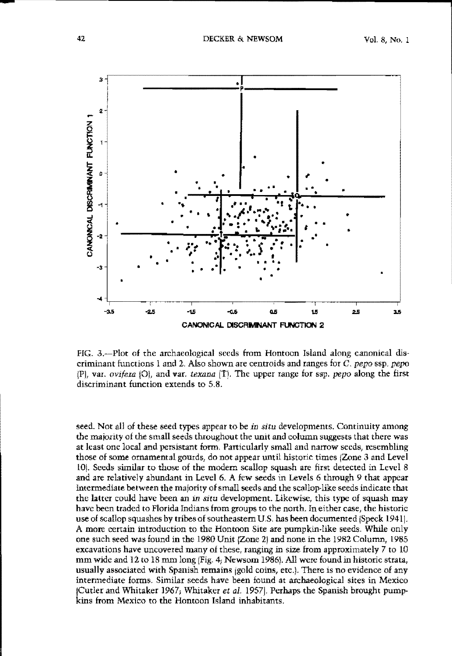

FIG. 3.—Plot of the archaeological seeds from Hontoon Island along canonical discriminant functions 1 and 2. Also shown are centroids and ranges for C. *pepo* ssp. *pepo* IFI, var. *ovifem* 101, and var. *texnna* ITI. The upper range for ssp. *pepo* along the first **discriminant function extends to 5,8.**

seed. Not all of these seed types appear to be *in situ* developments. Continuity among the majority of the small seeds throughout the unit and column suggests that there was at least one local and persistant form. Panicularly small and narrow seeds, resembling those of some ornamental gourds, do not appear until historic times (Zone 3 and Level LOI. Seeds similar to those of the modem scallop squash are first detected in Level 8 and are relatively abundant in Level 6. A few seeds in Levels 6 through 9 that appear intermediate between the majority of small seeds and the scallop-like seeds indicate that the latter could have been an in situ development. Likewise, this type of squash may have been traded to Florida Indians from groups to the north. In either case, the historic use of scallop squashes by tribes of southeastern U.S. has been documented (Speck 1941). A more certain introduction to the Hontoon Site are pumpkin.like seeds. While only one such seed was found in the 1980 Unit (Zone <sup>21</sup> and none in the 1982 Column, 1985 excavations have uncoveted many of these, ranging in size from approximately 7 to LO mm wide and 12 to 18 mm long (Fig. 4; Newsom 1986). All were found in historic strata, usually associated with Spanish remains jgold coins, etc.). There is no evidence of any intermediate forms. Similar seeds have been found at archaeological sites in Mexico ICutler and Whitaker 1967; Whitaker *et al.* 19571. Perhaps the Spanish brought pump· kins from Mexico to the Hontoon Island inhabitants.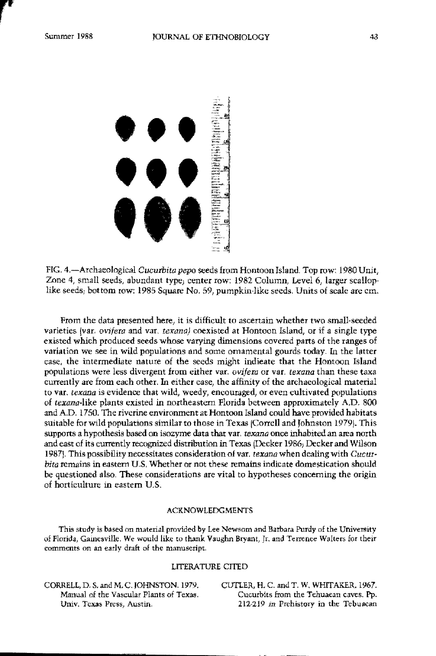

FIG. 4.-Arehaeological *Cucurbita pepo* seeds !rom Hontoon Island. Top row: 1980 Unit, Zone 4, small seeds, abundant type; center row: 1982 Column, Level 6, larger scalloplike seeds; bottom row: 1985 Square No. 59, pumpkin·like seeds. Units of scale are em.

From the data presented here, it is difficult to ascertain whether two small·seeded **varieties (var, oVifera and var,** *terona)* **coexisted at Hontoon Island, or if a single type** existed which produced seeds whose varying dimensions covered pans of the ranges of variation we see in wild populations and some ornamental gourds today. In the latter case, the intermediate nature of the seeds might indieate that the Hontoon Island **populations were less divergent** *hom* **either var.** *ovifera* **or val.** *texana* **than these taxa** currently are from each other. In either ease, the affinity of the archaeological material **to Vat,** *texana* **is evidence that wild, weedy, encouraged, or even cultivated populations** of *texana·like* plants existed In northeastern Florida between approximately A.D. 800 and A.D. 1750. The riverine enviromnent at Hontoon Island could have provided habitats suitable for wild populations similar to those in Texas (Correll and Johnston 1979). This supports a hypothesis based on isozyme data that var. *rexana* once inhabited an area north and east of its currently recognized distribution in Texas (Decker 1986, Decker and Wilson 1987}. This possibility necessitates consideration of Vat. *texana* when dealingwith *Cueur· bita* remains in eastern U.S, Whether or not these remains indicate domestication should be questioned also. These considerations are vital to hypotheses concerning the origin of horticulture in eastern U.S.

#### ACKNOWLEDGMENTS

**This study is based on material provided by Lee Newsom and Barbara Purdy of the University of Florida, Gainesville. We would like to thank Va.ughn Bryant, Jr. and Terrenee Walters for their eomments on an early draft of the manuscript,**

#### LITERATIJRE CITED

CORRELL, D. S, and M, C. JOHNSTON. 1979. **Manual of the Vascular Plants of Texas. Univ. Texas Press<sup>l</sup> Austin.**

CUTLER, H, C. and T. W, WHITAKER, 1967. **Cucurbits from the Tehuaean caves. pp. 212-219** in Prehistory in the Tebuacan